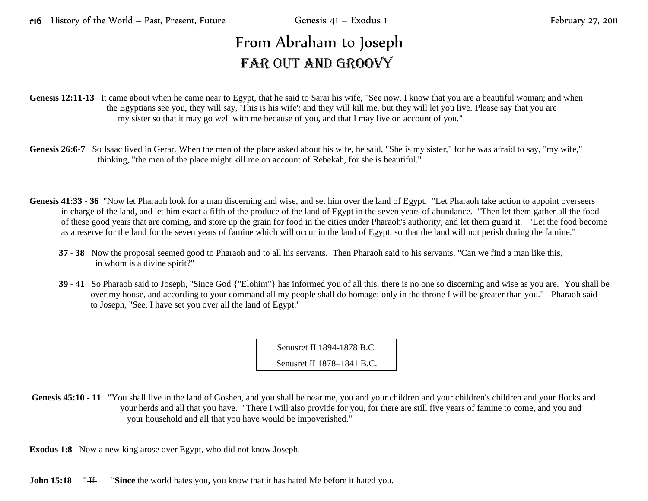## From Abraham to Joseph FAR OUT AND GROOVY

Genesis 12:11-13 It came about when he came near to Egypt, that he said to Sarai his wife, "See now, I know that you are a beautiful woman; and when the Egyptians see you, they will say, 'This is his wife'; and they will kill me, but they will let you live. Please say that you are my sister so that it may go well with me because of you, and that I may live on account of you."

- Genesis 26:6-7 So Isaac lived in Gerar. When the men of the place asked about his wife, he said, "She is my sister," for he was afraid to say, "my wife," thinking, "the men of the place might kill me on account of Rebekah, for she is beautiful."
- **Genesis 41:33 - 36** "Now let Pharaoh look for a man discerning and wise, and set him over the land of Egypt. "Let Pharaoh take action to appoint overseers in charge of the land, and let him exact a fifth of the produce of the land of Egypt in the seven years of abundance. "Then let them gather all the food of these good years that are coming, and store up the grain for food in the cities under Pharaoh's authority, and let them guard it. "Let the food become as a reserve for the land for the seven years of famine which will occur in the land of Egypt, so that the land will not perish during the famine."
	- **37 - 38** Now the proposal seemed good to Pharaoh and to all his servants. Then Pharaoh said to his servants, "Can we find a man like this, in whom is a divine spirit?"
	- **39 - 41** So Pharaoh said to Joseph, "Since God {"Elohim"} has informed you of all this, there is no one so discerning and wise as you are. You shall be over my house, and according to your command all my people shall do homage; only in the throne I will be greater than you." Pharaoh said to Joseph, "See, I have set you over all the land of Egypt."

Senusret II 1894-1878 B.C.

Senusret II 1878–1841 B.C.

Genesis 45:10 **-** 11 "You shall live in the land of Goshen, and you shall be near me, you and your children and your children's children and your flocks and your herds and all that you have. "There I will also provide for you, for there are still five years of famine to come, and you and your household and all that you have would be impoverished."'

**Exodus 1:8** Now a new king arose over Egypt, who did not know Joseph.